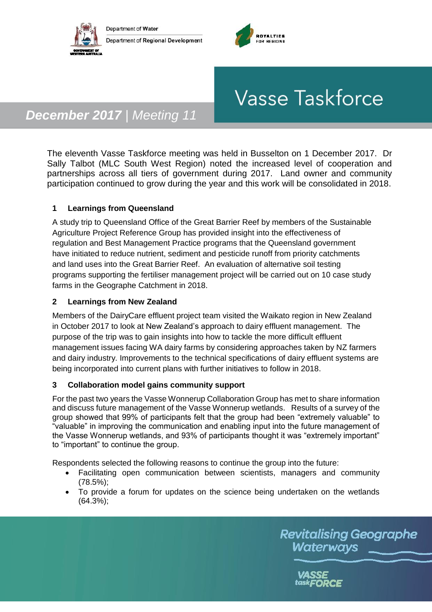



# **Vasse Taskforce**

# *December 2017 | Meeting 11*

The eleventh Vasse Taskforce meeting was held in Busselton on 1 December 2017. Dr Sally Talbot (MLC South West Region) noted the increased level of cooperation and partnerships across all tiers of government during 2017. Land owner and community participation continued to grow during the year and this work will be consolidated in 2018.

### **1 Learnings from Queensland**

A study trip to Queensland Office of the Great Barrier Reef by members of the Sustainable Agriculture Project Reference Group has provided insight into the effectiveness of regulation and Best Management Practice programs that the Queensland government have initiated to reduce nutrient, sediment and pesticide runoff from priority catchments and land uses into the Great Barrier Reef. An evaluation of alternative soil testing programs supporting the fertiliser management project will be carried out on 10 case study farms in the Geographe Catchment in 2018.

#### **2 Learnings from New Zealand**

Members of the DairyCare effluent project team visited the Waikato region in New Zealand in October 2017 to look at New Zealand's approach to dairy effluent management. The purpose of the trip was to gain insights into how to tackle the more difficult effluent management issues facing WA dairy farms by considering approaches taken by NZ farmers and dairy industry. Improvements to the technical specifications of dairy effluent systems are being incorporated into current plans with further initiatives to follow in 2018.

#### **3 Collaboration model gains community support**

For the past two years the Vasse Wonnerup Collaboration Group has met to share information and discuss future management of the Vasse Wonnerup wetlands. Results of a survey of the group showed that 99% of participants felt that the group had been "extremely valuable" to "valuable" in improving the communication and enabling input into the future management of the Vasse Wonnerup wetlands, and 93% of participants thought it was "extremely important" to "important" to continue the group.

Respondents selected the following reasons to continue the group into the future:

- Facilitating open communication between scientists, managers and community (78.5%);
- To provide a forum for updates on the science being undertaken on the wetlands (64.3%);

**Revitalising Geographe** Waterways

> **VASSE** task**FORCE**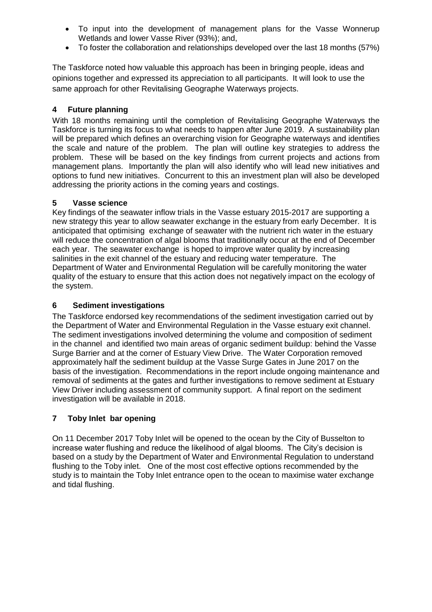- To input into the development of management plans for the Vasse Wonnerup Wetlands and lower Vasse River (93%); and,
- To foster the collaboration and relationships developed over the last 18 months (57%)

The Taskforce noted how valuable this approach has been in bringing people, ideas and opinions together and expressed its appreciation to all participants. It will look to use the same approach for other Revitalising Geographe Waterways projects.

#### **4 Future planning**

With 18 months remaining until the completion of Revitalising Geographe Waterways the Taskforce is turning its focus to what needs to happen after June 2019. A sustainability plan will be prepared which defines an overarching vision for Geographe waterways and identifies the scale and nature of the problem. The plan will outline key strategies to address the problem. These will be based on the key findings from current projects and actions from management plans. Importantly the plan will also identify who will lead new initiatives and options to fund new initiatives. Concurrent to this an investment plan will also be developed addressing the priority actions in the coming years and costings.

#### **5 Vasse science**

Key findings of the seawater inflow trials in the Vasse estuary 2015-2017 are supporting a new strategy this year to allow seawater exchange in the estuary from early December. It is anticipated that optimising exchange of seawater with the nutrient rich water in the estuary will reduce the concentration of algal blooms that traditionally occur at the end of December each year. The seawater exchange is hoped to improve water quality by increasing salinities in the exit channel of the estuary and reducing water temperature. The Department of Water and Environmental Regulation will be carefully monitoring the water quality of the estuary to ensure that this action does not negatively impact on the ecology of the system.

#### **6 Sediment investigations**

The Taskforce endorsed key recommendations of the sediment investigation carried out by the Department of Water and Environmental Regulation in the Vasse estuary exit channel. The sediment investigations involved determining the volume and composition of sediment in the channel and identified two main areas of organic sediment buildup: behind the Vasse Surge Barrier and at the corner of Estuary View Drive. The Water Corporation removed approximately half the sediment buildup at the Vasse Surge Gates in June 2017 on the basis of the investigation. Recommendations in the report include ongoing maintenance and removal of sediments at the gates and further investigations to remove sediment at Estuary View Driver including assessment of community support. A final report on the sediment investigation will be available in 2018.

#### **7 Toby Inlet bar opening**

On 11 December 2017 Toby Inlet will be opened to the ocean by the City of Busselton to increase water flushing and reduce the likelihood of algal blooms. The City's decision is based on a study by the Department of Water and Environmental Regulation to understand flushing to the Toby inlet. One of the most cost effective options recommended by the study is to maintain the Toby Inlet entrance open to the ocean to maximise water exchange and tidal flushing.